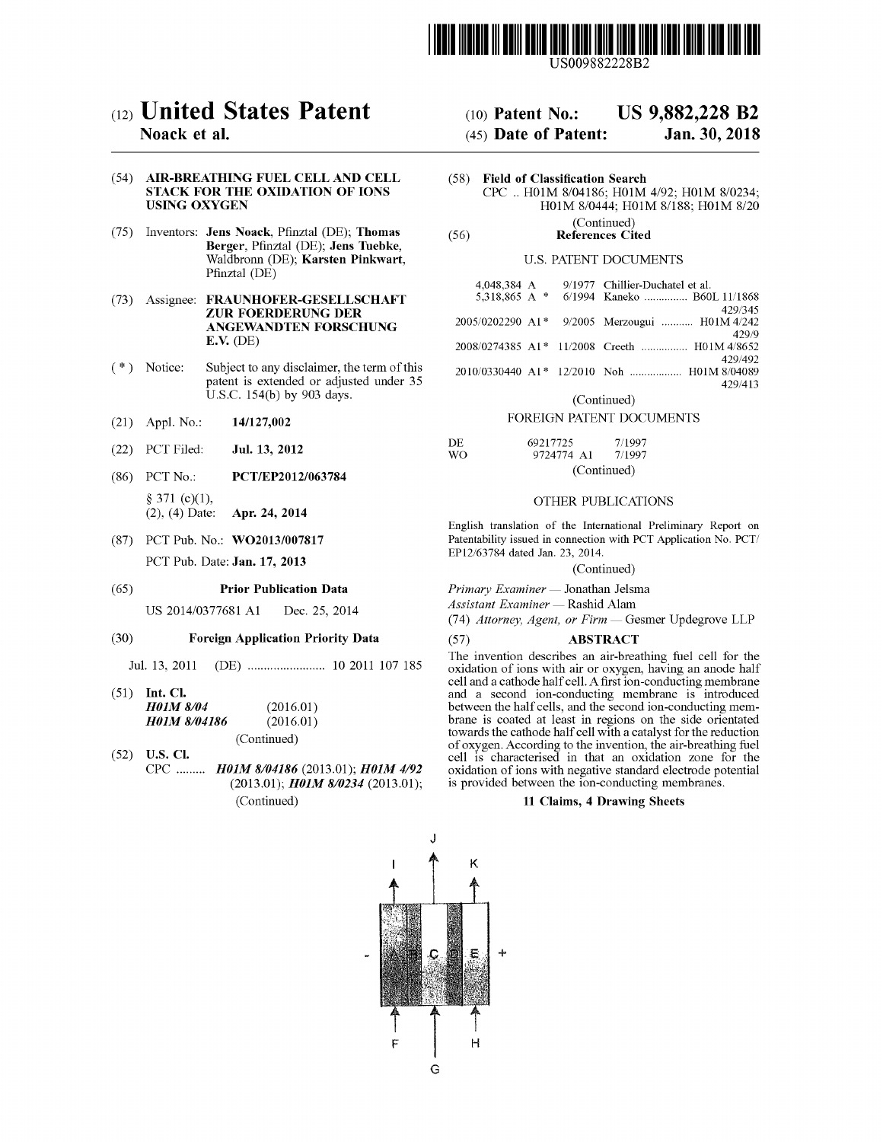

## (54) AIR-BREATHING FUEL CELL AND CELL STACK FOR THE OXIDATION OF IONS USING OXYGEN

- (75) Inventors: Jens Noack, Pfinztal (DE); Thomas (56) References Cited References Cited Waldbronn (DE); Karsten Pinkwart, Pfinztal (DE)
- (73) Assignee: FRAUNHOFER-GESELLSCHAFT ZUR FOERDERUNG DER ANGEWANDTEN FORSCHUNG  $E.V.$  (DE)
- $(*)$  Notice: Subject to any disclaimer, the term of this patent is extended or adjusted under 35 U.S.C.  $154(b)$  by 903 days.  $0.5C$ . 154(b) by 903 days.<br>
(21) Appl. No.:  $14/127,002$ <br>
(22) DCT Eiled: **Inl. 13, 2012** DE
- 
- (22) PCT Filed: **Jul. 13, 2012**
- (86) PCT No.: PCT/EP2012/063784  $\S$  371 (c)(1),<br>(2), (4) Date: **Apr. 24, 2014**
- (87) PCT Pub. No.: WO2013/007817 PCT Pub. Date: Jan. 17, 2013

## (65) **Prior Publication Data**

US 2014/0377681 A1 Dec. 25, 2014

## ( 30 ) Foreign Application Priority Data

Jul . 13 , 2011 ( DE ) . . . . . . . . . . . . . . . . . . . . . . 10 2011 107 185

- (51) Int. Cl.<br> $H01M 8/04$ H01M 8/04186  $(2016.01)$  $(2016.01)$
- (Continued)<br>
(52) U.S. Cl.<br>
CPC .........  $H01M 8/04186$  (2013.01);  $H01M 4/92$ (2013.01);  $H01M$  8/0234 (2013.01); (Continued)

# K  $\mathbf{I}$

E

Н

G

# (12) **United States Patent** (10) Patent No.: US 9,882,228 B2<br>Noack et al. (45) Date of Patent: Jan. 30, 2018  $(45)$  Date of Patent: Jan. 30, 2018

Field of Classification Search CPC .. H01M 8/04186; H01M 4/92; H01M 8/0234; H01M 8/0444; H01M 8/188; H01M 8/20 (Continued)

## U.S. PATENT DOCUMENTS

| 4,048,384 A | 9/1977 Chillier-Duchatel et al.               |
|-------------|-----------------------------------------------|
|             | 5.318.865 A * 6/1994 Kaneko  B60L 11/1868     |
|             | 429/345                                       |
|             | 2005/0202290 A1* 9/2005 Merzougui  H01M 4/242 |
|             | 429/9                                         |
|             | 2008/0274385 A1* 11/2008 Creeth  H01M 4/8652  |
|             | 429/492                                       |
|             |                                               |
|             | 429/413                                       |

(Continued)

## FOREIGN PATENT DOCUMENTS

| DE. | 69217725   | 7/1997      |  |  |  |
|-----|------------|-------------|--|--|--|
| WO. | 9724774 A1 | 7/1997      |  |  |  |
|     |            | (Continued) |  |  |  |

## OTHER PUBLICATIONS

English translation of the International Preliminary Report on Patentability issued in connection with PCT Application No. PCT/ EP12/63784 dated Jan. 23, 2014.

(Continued)

Primary Examiner — Jonathan Jelsma

Assistant Examiner — Rashid Alam

(74) Attorney, Agent, or Firm - Gesmer Updegrove LLP

## ( 57 ) ABSTRACT

The invention describes an air-breathing fuel cell for the oxidation of ions with air or oxygen, having an anode half cell and a cathode half cell . A first ion - conducting membrane and a second ion-conducting membrane is introduced between the half cells, and the second ion-conducting membrane is coated at least in regions on the side orientated of oxygen. According to the invention, the air-breathing fuel cell is characterised in that an oxidation zone for the oxidation of ions with negative standard electrode potential<br>is provided between the ion-conducting membranes.<br>11 Claims, 4 Drawing Sheets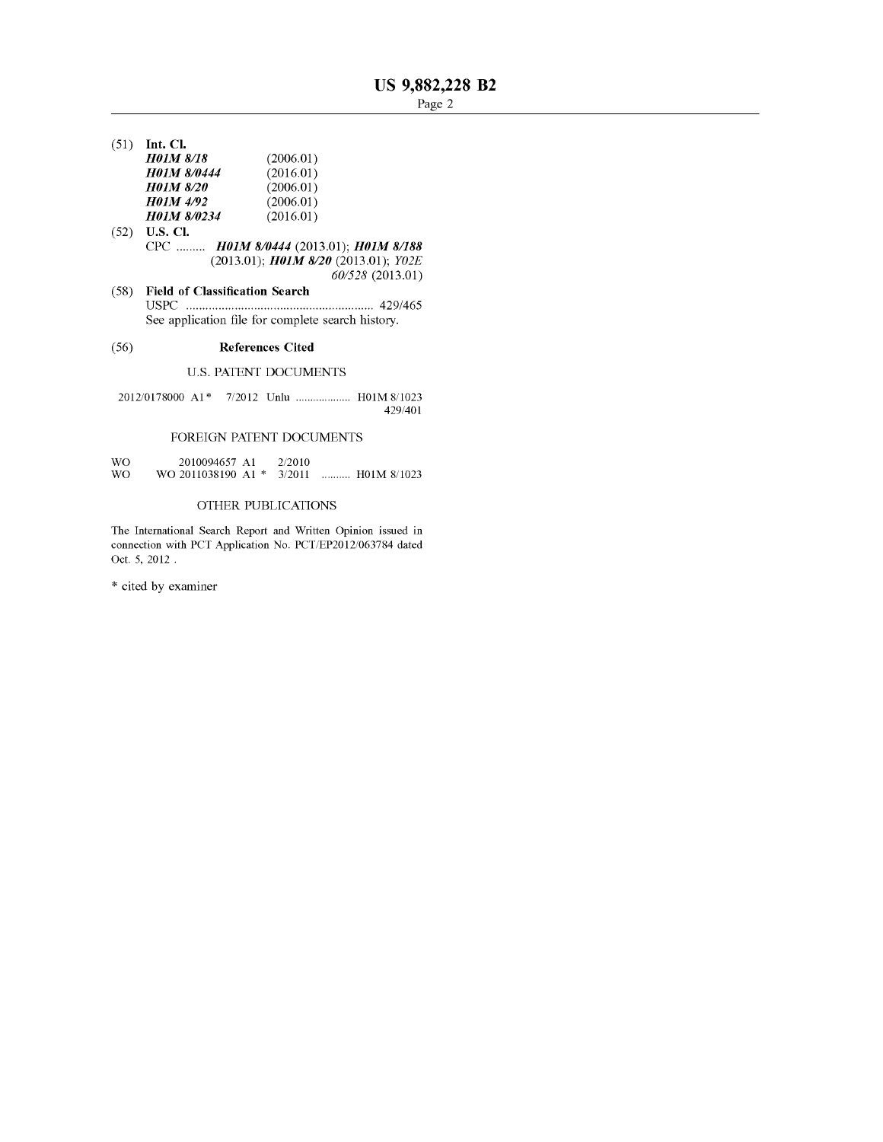$(51)$  Int. Cl.

| (2006.01) |
|-----------|
| (2016.01) |
| (2006.01) |
| (2006.01) |
| (2016.01) |
|           |

- $(52)$  **U.S. Cl.** CPC ......... HOIM 8/0444 (2013.01); HOIM 8/188 (2013.01); **HOIM 8/20** (2013.01); **YO2E** 60/528 (2013.01)
- $60/328$  (2013.01)<br>
(58) Field of Classification Search USPC . . . . . . . . . . . . . . . . . . . . . . . . . . . . . . . . . 429 / 465 See application file for complete search history.

# (56) References Cited

# U.S. PATENT DOCUMENTS

2012/0178000 A1\* 7/2012 Unlu ................... H01M 8/1023 429/401

# FOREIGN PATENT DOCUMENTS

| WΟ | 2010094657 A1               | -2/2010- |             |
|----|-----------------------------|----------|-------------|
| WΟ | WO 2011038190 A1 $*$ 3/2011 |          | H01M 8/1023 |

# OTHER PUBLICATIONS

The International Search Report and Written Opinion issued in connection with PCT Application No. PCT/EP2012/063784 dated Oct. 5, 2012.

\* cited by examiner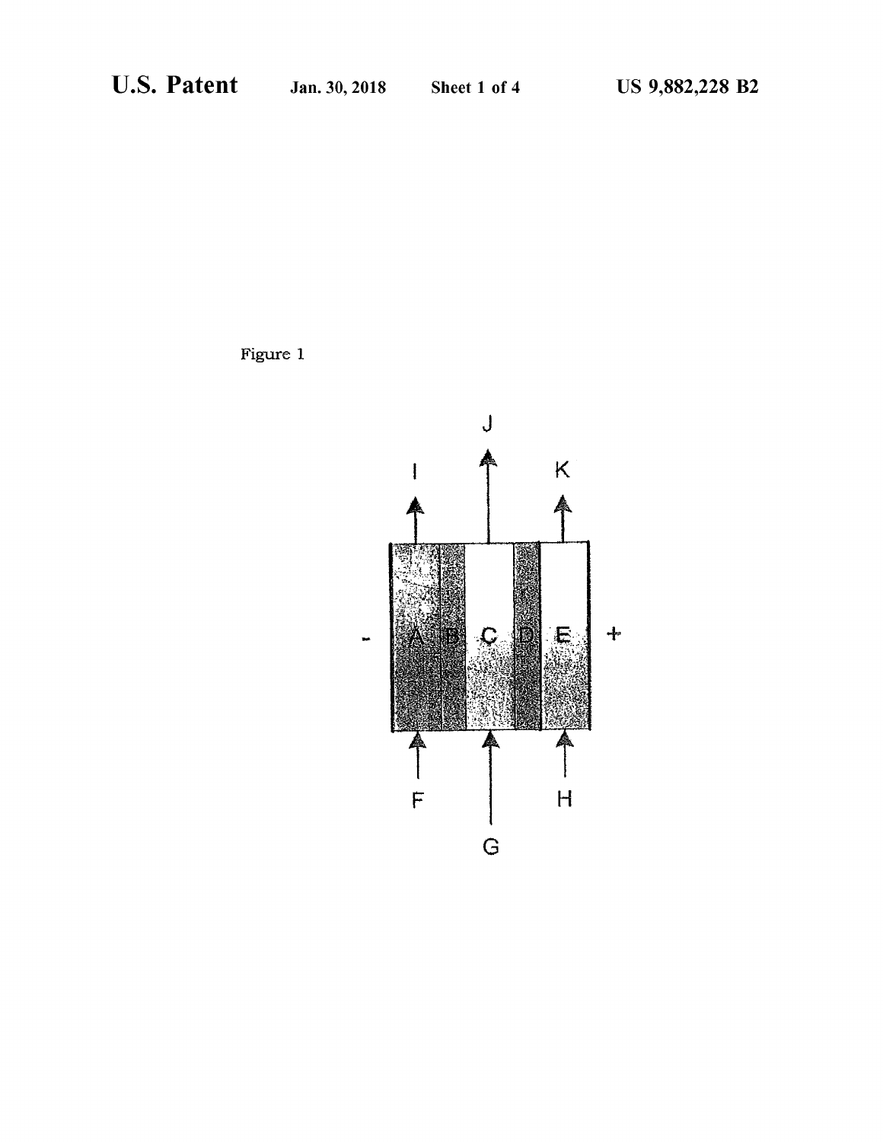Figure 1

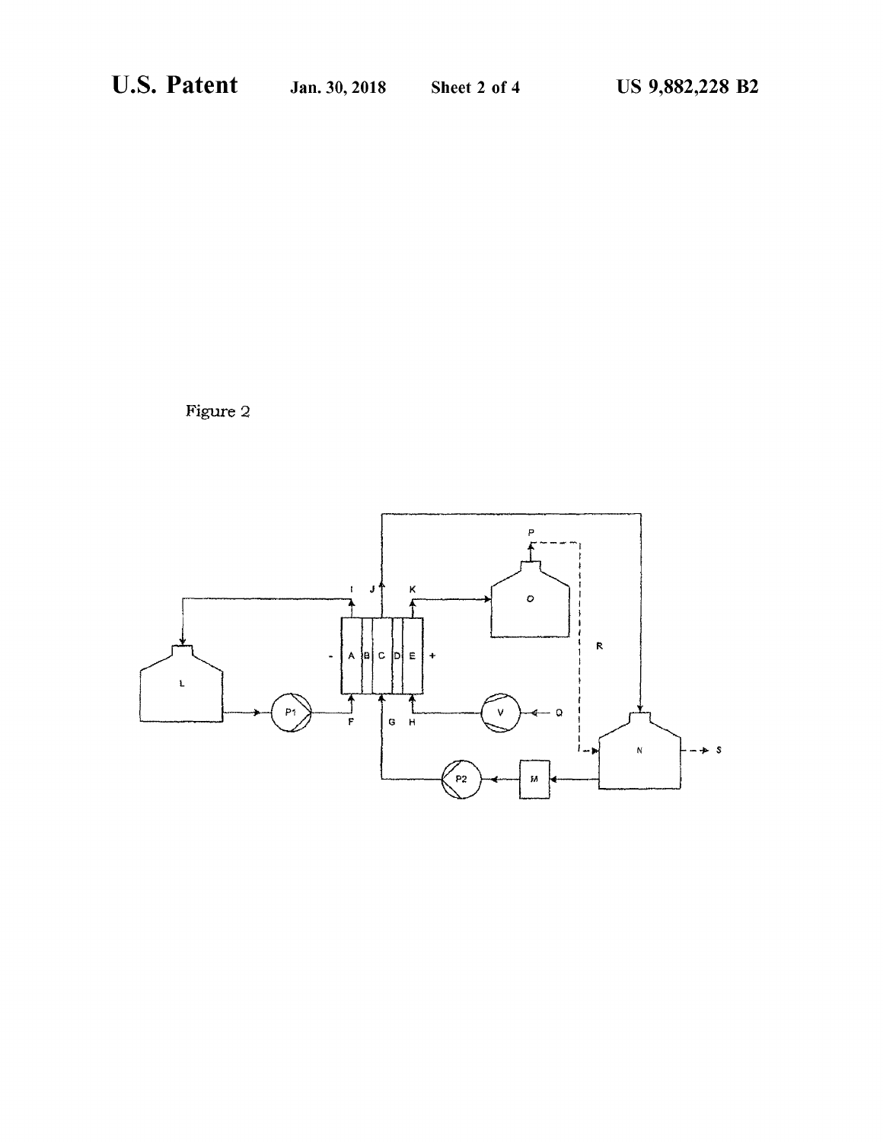Figure 2

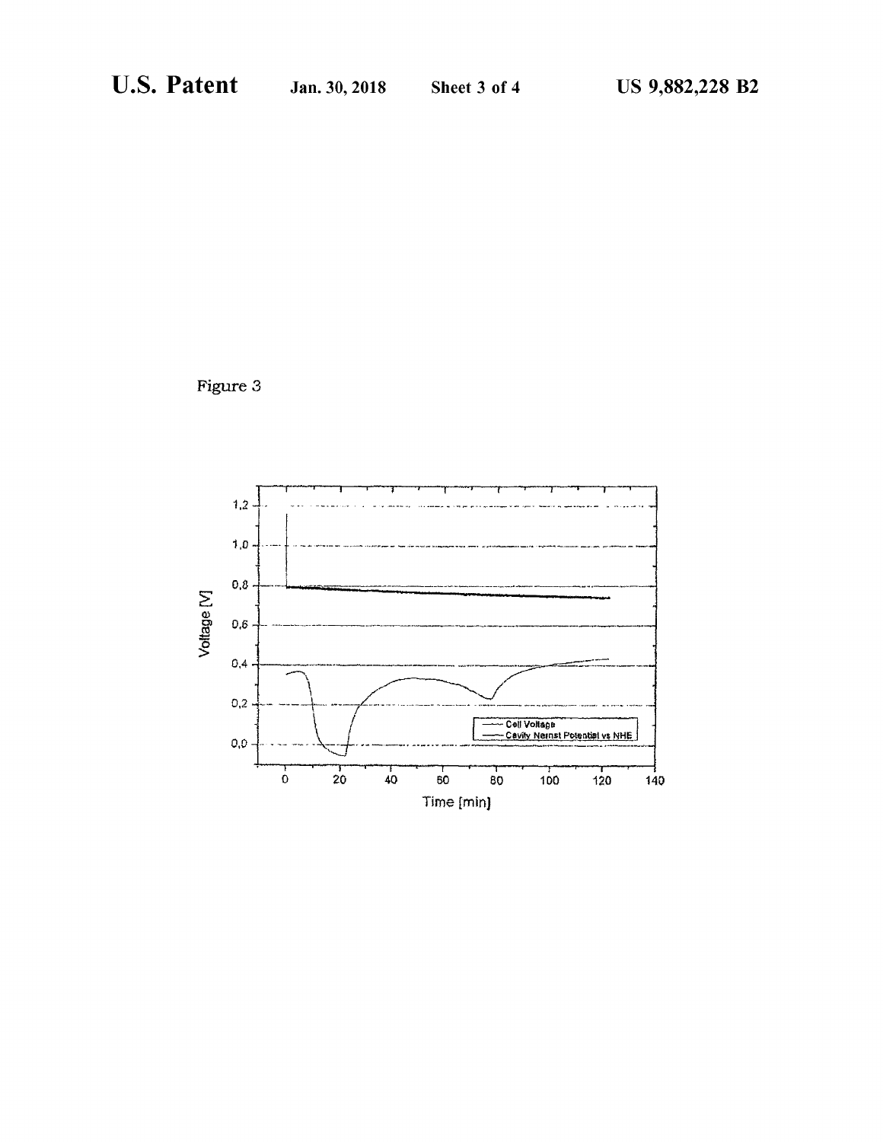Figure 3

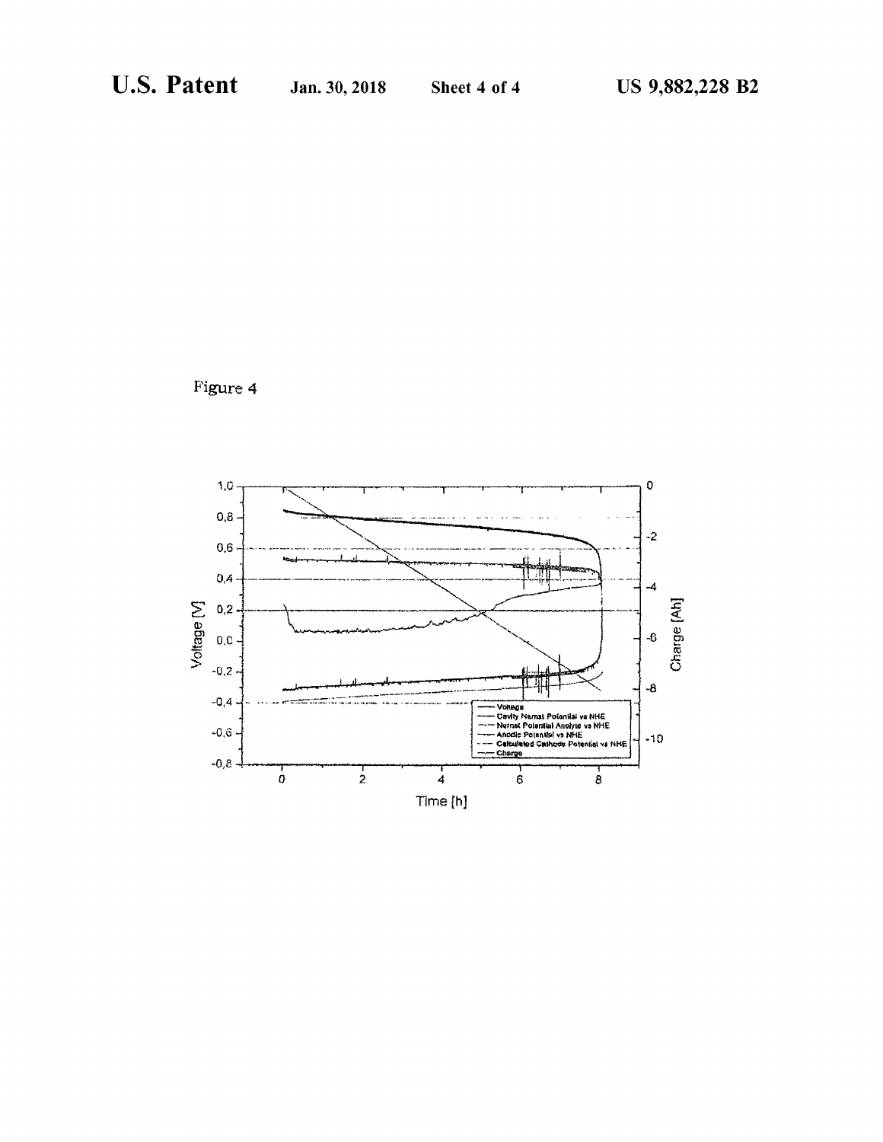Figure 4

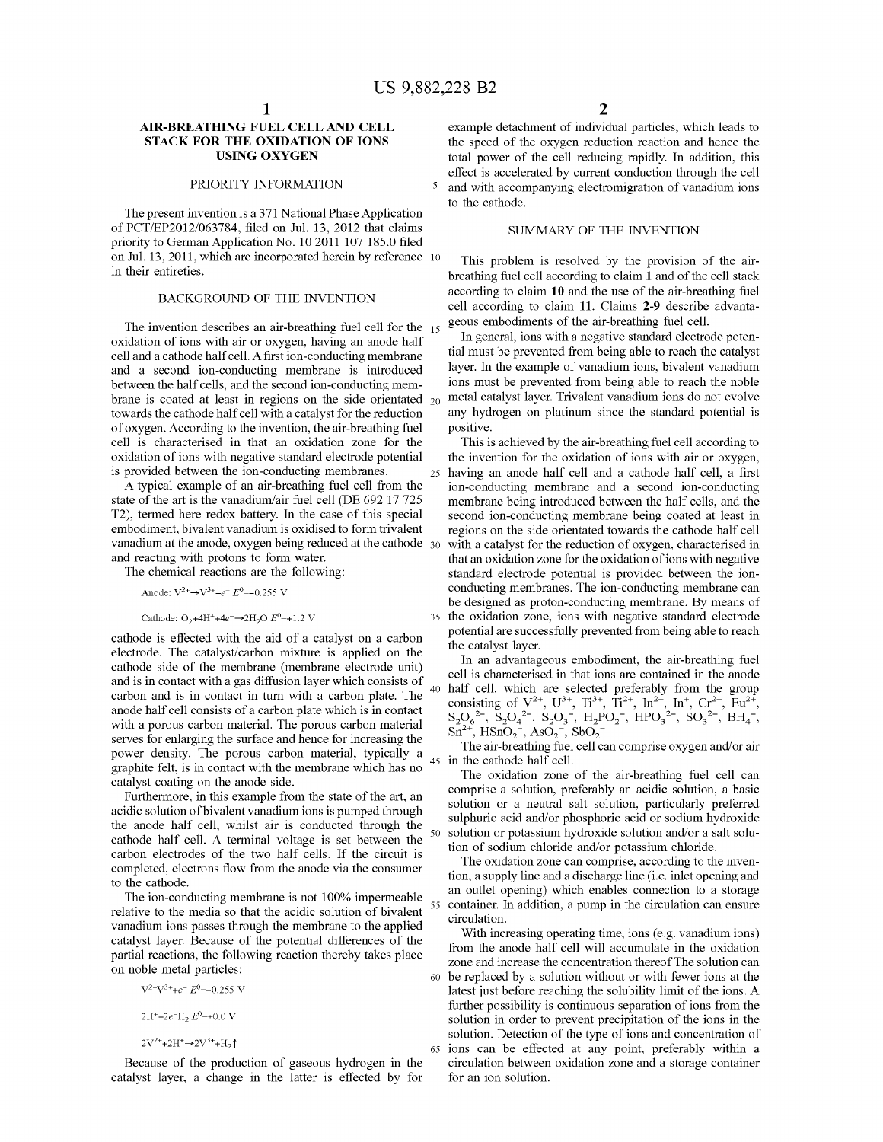The present invention is a 371 National Phase Application<br>of PCT/EP2012/063784, filed on Jul. 13, 2012 that claims<br>priority to German Application No. 10 2011 107 185.0 filed<br>on Jul. 13, 2011, which are incorporated herein on Jul. 13, 2011, which are incorporated herein by reference 10 This problem is resolved by the provision of the air-<br>in their entireties.

The invention describes an air-breathing fuel cell for the  $_{15}$  geous embodiments of the air-breathing fuel cell.<br>oxidation of ions with air or oxygen, having an anode half and scation is in general, ions with a negativ cell and a cathode half cell. A first ion-conducting membrane tial must be prevented from being able to reach the catalyst<br>and a second ion-conducting membrane is introduced layer. In the example of vanadium ions, bivalent and a second ion-conducting membrane is introduced layer. In the example of vanadium ions, bivalent vanadium<br>hetween the half cells, and the second ion-conducting mem-<br>ions must be prevented from being able to reach the no between the half cells, and the second ion-conducting mem-<br>brane is coated at least in regions on the side orientated 20 metal catalyst layer. Trivalent vanadium ions do not evolve brane is coated at least in regions on the side orientated  $_{20}$  metal catalyst layer. Trivalent vanadium ions do not evolve towards the cathode half cell with a catalyst for the reduction any hydrogen on platinum since towards the cathode half cell with a catalyst for the reduction any hydrogen. According to the invention, the air-breathing fuel positive. cell is characterised in that an oxidation zone for the This is achieved by the air-breathing fuel cell according to oxidation of ions with negative standard electrode potential the invention for the oxidation of ions with

A typical example of an air-breathing fuel cell from the ion-conducting membrane and a second ion-conducting state of the art is the vanadium/air fuel cell (DE 692 17 725 membrane being introduced between the half cells, a embodiment, bivalent vanadium is oxidised to form trivalent regions on the side orientated towards the cathode half cell<br>vanadium at the anode, oxygen being reduced at the cathode 30 with a catalyst for the reduction of ox vanadium at the anode, oxygen being reduced at the cathode 30 with a catalyst for the reduction of oxygen, characterised in and reacting with protons to form water. that an oxidation zone for the oxidation of ions with neg

potential are successfully prevented from being a cathode is effected with the aid of a catalyst on a carbon the catalyst layer. electrode. The catalyst/carbon mixture is applied on the the catalyst layer.<br>In an advantageous embodiment, the air-breathing fuel cathode side of the membrane (membrane electrode unit) In an advantageous embodiment, the air-organized in the and is in contact with a gas diffusion layer which consists of  $\epsilon$  helf sell which are calendary in the and i and is in contact with a gas diffusion layer which consists of<br>
evid ball cell, which are selected prelevably from the autour<br>
carbon and is in contact in turn with a carbon plate. The 40 half cell, which are selected pre

catalyst layer, a change in the latter is effected by for

AIR-BREATHING FUEL CELL AND CELL example detachment of individual particles, which leads to<br>STACK FOR THE OXIDATION OF IONS the speed of the oxygen reduction reaction and hence the **STACK FOR THE OXIDATION OF IONS** the speed of the oxygen reduction reaction and hence the **USING OXYGEN** total nower of the cell reducing rapidly. In addition, this total power of the cell reducing rapidly. In addition, this effect is accelerated by current conduction through the cell PRIORITY INFORMATION 5 and with accompanying electromigration of vanadium ions

breathing fuel cell according to claim 1 and of the cell stack BACKGROUND OF THE INVENTION according to claim 10 and the use of the air-breathing fuel<br>cell according to claim 11. Claims 2-9 describe advanta-

is provided between the ion-conducting membranes.<br>A typical example of an air-breathing fuel cell from the ion-conducting membrane and a second ion-conducting state of the art is the vanadium/air fuel cell (DE 692 17 725 membrane being introduced between the half cells, and the T2), termed here redox battery. In the case of this special second ion-conducting membrane being coate T2), termed here redox battery. In the case of this special second ion-conducting membrane being coated at least in embodiment, bivalent vanadium is oxidised to form trivalent regions on the side orientated towards the cat The chemical reactions are the following: standard electrode potential is provided between the ion-Anode:  $V^{2+} \rightarrow V^{3+} + e^- E^0 = -0.255 V$  conducting membranes. The ion-conducting membrane can be designed as proton-conducting membrane. By means of Cathode:  $O_2$ +4H<sup>+</sup>+4e<sup>-</sup>→2H<sub>2</sub>O  $E^0$ =+1.2 V 35 the oxidation zone, ions with negative standard electrode<br>declines the original standard electrode potential are successfully prevented from being able to reach

 $V^{2+}V^{3+} + e^- E^{0} = 0.255 V$  latest just before reaching the solubility limit of the ions. A further possibility is continuous separation of ions from the  $2H^2 + 2e^T H_2 E^0 = \pm 0.0 \text{ V}$ <br>
Solution in order to prevent precipitation of the ions in the<br>
solution. Detection of the type of ions and concentration of  $2V^{2+}+2H^+ \rightarrow 2V^{3+}+H_2$ <sup>4</sup>  $65$  ions can be effected at any point, preferably within a Because of the production of gaseous hydrogen in the circulation between oxidation zone and a storage container circulation between oxidation zone and a storage container for an ion solution.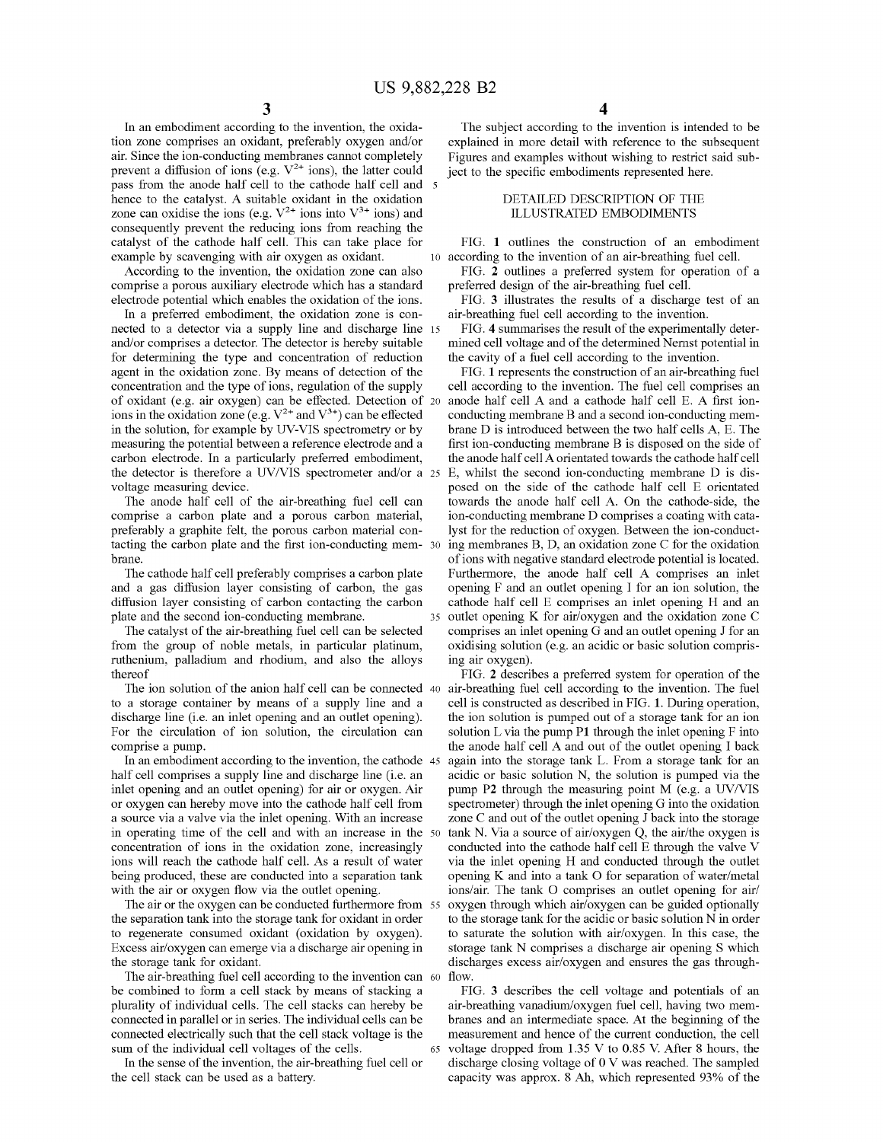air. Since the ion-conducting membranes cannot completely Figures and examples without wishing to restrict said sub-<br>prevent a diffusion of ions (e.g.  $V^{2+}$  ions), the latter could ject to the specific embodiments repre prevent a diffusion of ions (e.g.  $V^{2+}$  ions), the latter could ject to the specific embodiments represented here.<br>
pass from the anode half cell to the cathode half cell and  $\overline{s}$  be DETAILED DESCRIPTION OF THE hence to the catalyst. A suitable oxidant in the oxidation DETAILED DESCRIPTION OF TH zone can oxidise the ions (e.g.  $V^{2+}$  ions into  $V^{3+}$  ions) and ILLUSTRATED EMBODIMENTS zone can oxidise the ions (e.g.  $V^{2+}$  ions into  $V^{3+}$  ions) and consequently prevent the reducing ions from reaching the catalyst of the cathode half cell. This can take place for FIG. 1 outlines the construction of an embodiment example by scavenging with air oxygen as oxidant.

comprise a porous auxiliary electrode which has a standard

nected to a detector via a supply line and discharge line 15 FIG. 4 summarises the result of the experimentally deter-<br>and/or comprises a detector. The detector is hereby suitable mined cell voltage and of the determined N and/or comprises a detector. The detector is hereby suitable mined cell voltage and of the determined Nernst potential in for determining the type and concentration of reduction the cavity of a fuel cell according to the i agent in the oxidation zone. By means of detection of the FIG. 1 represents the construction of an air-breathing fuel concentration and the type of ions, regulation of the supply cell according to the invention. The fuel c of oxidant (e.g. air oxygen) can be effected. Detection of 20 anode half cell A and a cathode half cell E. A first ion-<br>ions in the oxidation zone (e.g.  $V^{2+}$  and  $V^{3+}$ ) can be effected conducting membrane B and a sec ions in the oxidation zone (e.g.  $V^{2+}$  and  $V^{3+}$ ) can be effected conducting membrane B and a second ion-conducting mem-<br>in the solution, for example by UV-VIS spectrometry or by brane D is introduced between the two measuring the potential between a reference electrode and a<br>carbon electrode. In a particularly preferred embodiment, the anode half cell A orientated towards the cathode half cell carbon electrode. In a particularly preferred embodiment, the detector is therefore a UV/VIS spectrometer and/or a 25 E, whilst the second ion-conducting membrane D is dis-<br>posed on the side of the cathode half cell E orientated

comprise a carbon plate and a porous carbon material, preferably a graphite felt, the porous carbon material contacting the carbon plate and the first ion-conducting mem- 30 ing membranes B, D, an oxidation zone C for the oxidation brane. **brane** . of ions with negative standard electrode potential is located.

diffusion layer consisting of carbon contacting the carbon plate and the second ion-conducting membrane.

The catalyst of the air-breathing fuel cell can be selected comprises an inlet opening G and an outlet opening J for an from the group of noble metals, in particular platinum, oxidising solution (e.g. an acidic or basic so from the group of noble metals, in particular platinum, oxidising solution (e.g. an acidic or basic solution compris-<br>ruthenium, palladium and rhodium, and also the alloys ing air oxygen). ruthereof **FIG.** 2 describes a preferred system for operation of the allows in  $FIG$ . 2 describes a preferred system for operation of the

discharge line (i.e. an inlet opening and an outlet opening). The ion solution is pumped out of a storage tank for an ion<br>For the circulation of ion solution, the circulation can solution L via the pump P1 through the inle For the circulation of ion solution, the circulation can solution L via the pump P1 through the inlet opening F into the comprise a pump.<br>the anode half cell A and out of the outlet opening I back

half cell comprises a supply line and discharge line (i.e. an inlet opening and an outlet opening) for air or oxygen. Air inlet opening and an outlet opening) for air or oxygen. Air pump P2 through the measuring point M (e.g. a UV/VIS or oxygen can hereby move into the cathode half cell from spectrometer) through the inlet opening G into the a source via a valve via the inlet opening. With an increase zone C and out of the outlet opening J back into the storage in operating time of the cell and with an increase in the 50 tank N. Via a source of air/oxygen Q, t in operating time of the cell and with an increase in the 50 concentration of ions in the oxidation zone, increasingly concentration of ions in the oxidation zone, increasingly conducted into the cathode half cell E through the valve V<br>ions will reach the cathode half cell. As a result of water via the inlet opening H and conducted through ions will reach the cathode half cell. As a result of water via the inlet opening H and conducted through the outlet being produced, these are conducted into a separation tank opening K and into a tank O for separation of

to regenerate consumed oxidant (oxidation by oxygen). to saturate the solution with air/oxygen. In this case, the Excess air/oxygen can emerge via a discharge air opening in storage tank N comprises a discharge air opening

the storage tank for oxidant.<br>
The air-breathing fuel cell according to the invention can 60 flow.<br>
be combined to form a cell stack by means of stacking a<br>
plurality of individual cells. The cell stacks can hereby be<br>
air plurality of individual cells. The cell stacks can hereby be air-breathing vanadium/oxygen fuel cell, having two mem-<br>connected in parallel or in series. The individual cells can be branes and an intermediate space. At the connected in parallel or in series. The individual cells can be branes and an intermediate space. At the beginning of the connected electrically such that the cell stack voltage is the measurement and hence of the current

In the sense of the invention, the air-breathing fuel cell or<br>the cell stack can be used as a battery.<br>capacity was approx. 8 Ah, which represented 93% of the<br>details

4

In an embodiment according to the invention, the oxida-<br>The subject according to the invention is intended to be<br>tion zone comprises an oxidant, preferably oxygen and/or<br>explained in more detail with reference to the subse

According to the invention, the oxidation zone can also FIG. 2 outlines a preferred system for operation of a mprise a porous auxiliary electrode which has a standard preferred design of the air-breathing fuel cell.

electrode potential which enables the oxidation of the ions. FIG. 3 illustrates the results of a discharge test of an In a preferred embodiment, the oxidation zone is con-<br>in-breathing fuel cell according to the invention.

cell according to the invention. The fuel cell comprises an anode half cell A and a cathode half cell E. A first ion-Itage measuring device.<br>
The anode half cell of the air-breathing fuel cell can<br>
towards the anode half cell A. On the cathode-side, the towards the anode half cell A. On the cathode-side, the ion-conducting membrane D comprises a coating with catalyst for the reduction of oxygen. Between the ion-conduct-The cathode half cell preferably comprises a carbon plate Furthermore, the anode half cell A comprises an inlet and a gas diffusion layer consisting of carbon, the gas opening F and an outlet opening I for an ion solution, opening  $F$  and an outlet opening I for an ion solution, the cathode half cell  $E$  comprises an inlet opening  $H$  and an 35 outlet opening K for air/oxygen and the oxidation zone C

The ion solution of the anion half cell can be connected 40 air-breathing fuel cell according to the invention. The fuel to a storage container by means of a supply line and a cell is constructed as described in FIG. 1. Du mprise a pump.<br>In an embodiment according to the invention, the cathode 45 again into the storage tank L. From a storage tank for an again into the storage tank L. From a storage tank for an acidic or basic solution N, the solution is pumped via the spectrometer) through the inlet opening G into the oxidation opening  $K$  and into a tank  $O$  for separation of water/metal with the air or oxygen flow via the outlet opening. ions/air. The tank O comprises an outlet opening for air/<br>The air or the oxygen can be conducted furthermore from 55 oxygen through which air/oxygen can be guided optiona The air or the oxygen can be conducted furthermore from 55 oxygen through which air/oxygen can be guided optionally the separation tank into the storage tank for oxidant in order to the storage tank for the acidic or basic to the storage tank for the acidic or basic solution N in order storage tank N comprises a discharge air opening S which

connected electrically such that the cell stack voltage is the measurement and hence of the current conduction, the cell sum of the individual cell voltages of the cells. 65 voltage dropped from 1.35 V to 0.85 V. After 8 h m of the individual cell voltages of the cells. <sup>65</sup> voltage dropped from 1.35 V to 0.85 V. After 8 hours, the In the sense of the invention, the air-breathing fuel cell or discharge closing voltage of 0 V was reached. The capacity was approx. 8 Ah, which represented 93% of the